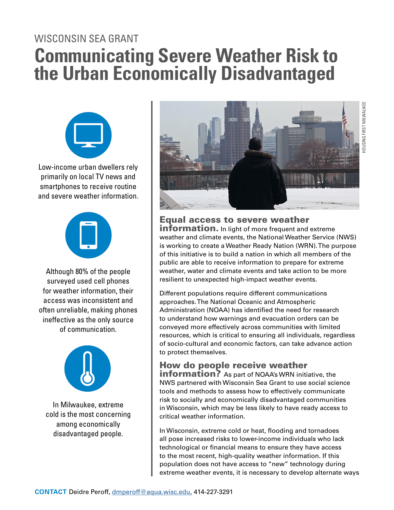## WISCONSIN SEA GRANT **Communicating Severe Weather Risk to the Urban Economically Disadvantaged**



Low-income urban dwellers rely primarily on local TV news and smartphones to receive routine and severe weather information.



Although 80% of the people surveyed used cell phones for weather information, their access was inconsistent and often unreliable, making phones ineffective as the only source of communication.



In Milwaukee, extreme cold is the most concerning among economically disadvantaged people.



Equal access to severe weather **information.** In light of more frequent and extreme weather and climate events, the National Weather Service (NWS) is working to create a Weather Ready Nation (WRN). The purpose of this initiative is to build a nation in which all members of the public are able to receive information to prepare for extreme weather, water and climate events and take action to be more resilient to unexpected high-impact weather events.

Different populations require different communications approaches. The National Oceanic and Atmospheric Administration (NOAA) has identified the need for research to understand how warnings and evacuation orders can be conveyed more effectively across communities with limited resources, which is critical to ensuring all individuals, regardless of socio-cultural and economic factors, can take advance action to protect themselves.

## How do people receive weather

**information?** As part of NOAA's WRN initiative, the NWS partnered with Wisconsin Sea Grant to use social science tools and methods to assess how to effectively communicate risk to socially and economically disadvantaged communities in Wisconsin, which may be less likely to have ready access to critical weather information.

In Wisconsin, extreme cold or heat, flooding and tornadoes all pose increased risks to lower-income individuals who lack technological or financial means to ensure they have access to the most recent, high-quality weather information. If this population does not have access to "new" technology during extreme weather events, it is necessary to develop alternate ways